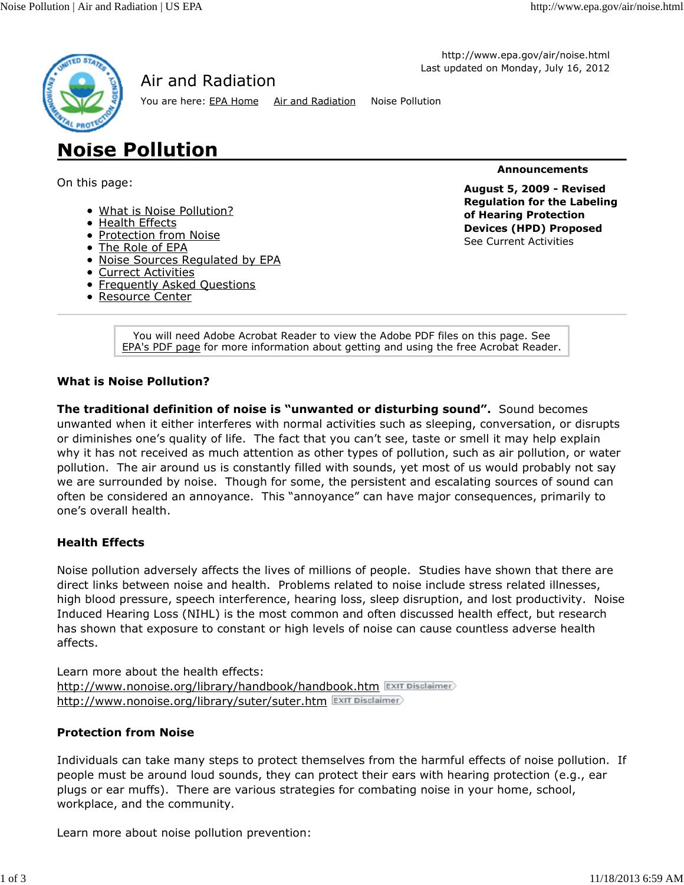

Air and Radiation

You are here: EPA Home Air and Radiation Noise Pollution

http://www.epa.gov/air/noise.html Last updated on Monday, July 16, 2012

On this page:

- What is Noise Pollution?
- Health Effects

**Noise Pollution**

- Protection from Noise
- The Role of EPA
- Noise Sources Regulated by EPA
- Currect Activities
- Frequently Asked Questions
- Resource Center

**Announcements**

**August 5, 2009 - Revised Regulation for the Labeling of Hearing Protection Devices (HPD) Proposed** See Current Activities

You will need Adobe Acrobat Reader to view the Adobe PDF files on this page. See EPA's PDF page for more information about getting and using the free Acrobat Reader.

#### **What is Noise Pollution?**

**The traditional definition of noise is "unwanted or disturbing sound".** Sound becomes unwanted when it either interferes with normal activities such as sleeping, conversation, or disrupts or diminishes one's quality of life. The fact that you can't see, taste or smell it may help explain why it has not received as much attention as other types of pollution, such as air pollution, or water pollution. The air around us is constantly filled with sounds, yet most of us would probably not say we are surrounded by noise. Though for some, the persistent and escalating sources of sound can often be considered an annoyance. This "annoyance" can have major consequences, primarily to one's overall health.

# **Health Effects**

Noise pollution adversely affects the lives of millions of people. Studies have shown that there are direct links between noise and health. Problems related to noise include stress related illnesses, high blood pressure, speech interference, hearing loss, sleep disruption, and lost productivity. Noise Induced Hearing Loss (NIHL) is the most common and often discussed health effect, but research has shown that exposure to constant or high levels of noise can cause countless adverse health affects.

Learn more about the health effects: http://www.nonoise.org/library/handbook/handbook.htm http://www.nonoise.org/library/suter/suter.htm

#### **Protection from Noise**

Individuals can take many steps to protect themselves from the harmful effects of noise pollution. If people must be around loud sounds, they can protect their ears with hearing protection (e.g., ear plugs or ear muffs). There are various strategies for combating noise in your home, school, workplace, and the community.

Learn more about noise pollution prevention: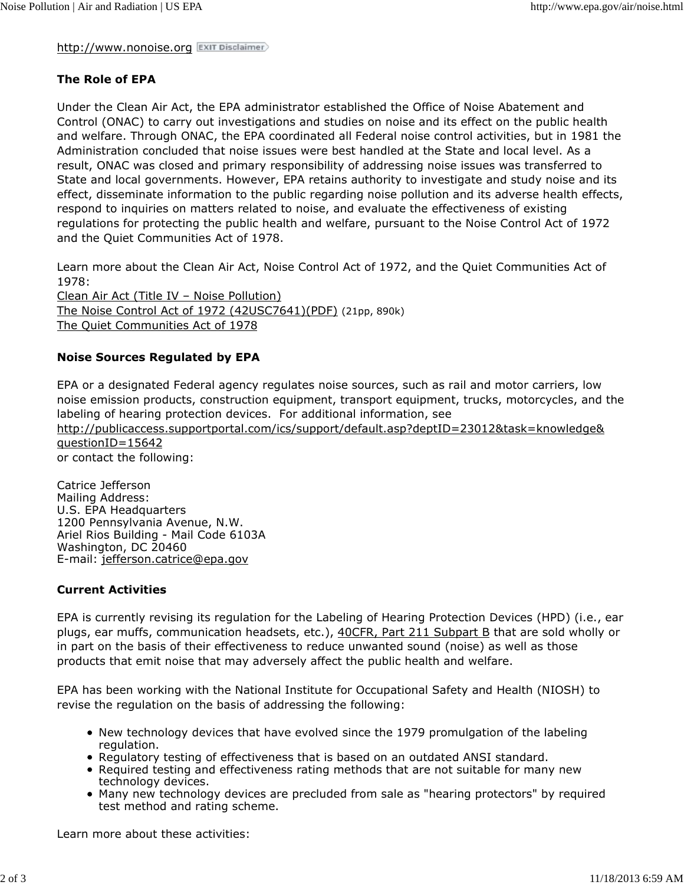http://www.nonoise.org

### **The Role of EPA**

Under the Clean Air Act, the EPA administrator established the Office of Noise Abatement and Control (ONAC) to carry out investigations and studies on noise and its effect on the public health and welfare. Through ONAC, the EPA coordinated all Federal noise control activities, but in 1981 the Administration concluded that noise issues were best handled at the State and local level. As a result, ONAC was closed and primary responsibility of addressing noise issues was transferred to State and local governments. However, EPA retains authority to investigate and study noise and its effect, disseminate information to the public regarding noise pollution and its adverse health effects, respond to inquiries on matters related to noise, and evaluate the effectiveness of existing regulations for protecting the public health and welfare, pursuant to the Noise Control Act of 1972 and the Quiet Communities Act of 1978.

Learn more about the Clean Air Act, Noise Control Act of 1972, and the Quiet Communities Act of 1978:

Clean Air Act (Title IV – Noise Pollution) The Noise Control Act of 1972 (42USC7641)(PDF) (21pp, 890k) The Quiet Communities Act of 1978

#### **Noise Sources Regulated by EPA**

EPA or a designated Federal agency regulates noise sources, such as rail and motor carriers, low noise emission products, construction equipment, transport equipment, trucks, motorcycles, and the labeling of hearing protection devices. For additional information, see

http://publicaccess.supportportal.com/ics/support/default.asp?deptID=23012&task=knowledge& questionID=15642

or contact the following:

Catrice Jefferson Mailing Address: U.S. EPA Headquarters 1200 Pennsylvania Avenue, N.W. Ariel Rios Building - Mail Code 6103A Washington, DC 20460 E-mail: jefferson.catrice@epa.gov

#### **Current Activities**

EPA is currently revising its regulation for the Labeling of Hearing Protection Devices (HPD) (i.e., ear plugs, ear muffs, communication headsets, etc.), 40CFR, Part 211 Subpart B that are sold wholly or in part on the basis of their effectiveness to reduce unwanted sound (noise) as well as those products that emit noise that may adversely affect the public health and welfare.

EPA has been working with the National Institute for Occupational Safety and Health (NIOSH) to revise the regulation on the basis of addressing the following:

- New technology devices that have evolved since the 1979 promulgation of the labeling regulation.
- Regulatory testing of effectiveness that is based on an outdated ANSI standard.
- Required testing and effectiveness rating methods that are not suitable for many new technology devices.
- Many new technology devices are precluded from sale as "hearing protectors" by required test method and rating scheme.

Learn more about these activities: